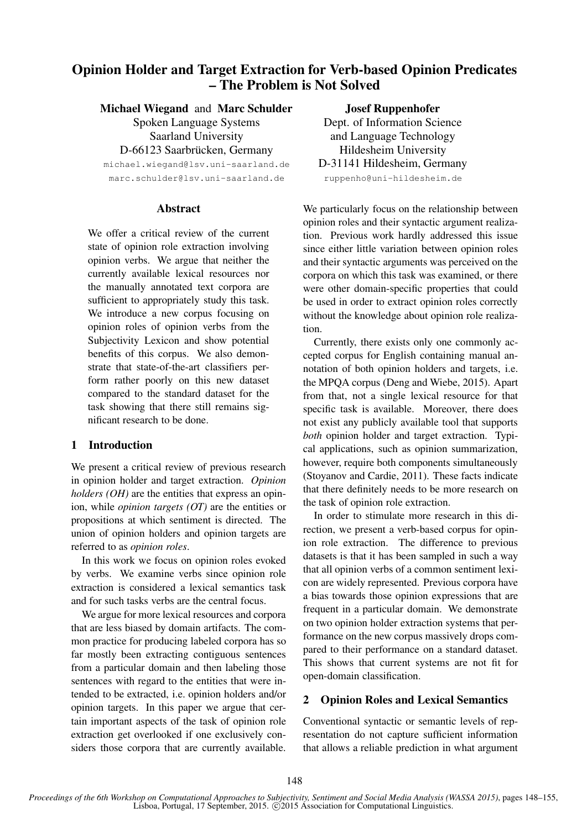# Opinion Holder and Target Extraction for Verb-based Opinion Predicates – The Problem is Not Solved

Michael Wiegand and Marc Schulder

Spoken Language Systems Saarland University

D-66123 Saarbrücken, Germany

michael.wiegand@lsv.uni-saarland.de marc.schulder@lsv.uni-saarland.de

### Abstract

We offer a critical review of the current state of opinion role extraction involving opinion verbs. We argue that neither the currently available lexical resources nor the manually annotated text corpora are sufficient to appropriately study this task. We introduce a new corpus focusing on opinion roles of opinion verbs from the Subjectivity Lexicon and show potential benefits of this corpus. We also demonstrate that state-of-the-art classifiers perform rather poorly on this new dataset compared to the standard dataset for the task showing that there still remains significant research to be done.

## 1 Introduction

We present a critical review of previous research in opinion holder and target extraction. *Opinion holders (OH)* are the entities that express an opinion, while *opinion targets (OT)* are the entities or propositions at which sentiment is directed. The union of opinion holders and opinion targets are referred to as *opinion roles*.

In this work we focus on opinion roles evoked by verbs. We examine verbs since opinion role extraction is considered a lexical semantics task and for such tasks verbs are the central focus.

We argue for more lexical resources and corpora that are less biased by domain artifacts. The common practice for producing labeled corpora has so far mostly been extracting contiguous sentences from a particular domain and then labeling those sentences with regard to the entities that were intended to be extracted, i.e. opinion holders and/or opinion targets. In this paper we argue that certain important aspects of the task of opinion role extraction get overlooked if one exclusively considers those corpora that are currently available. Josef Ruppenhofer

Dept. of Information Science and Language Technology Hildesheim University D-31141 Hildesheim, Germany ruppenho@uni-hildesheim.de

We particularly focus on the relationship between opinion roles and their syntactic argument realization. Previous work hardly addressed this issue since either little variation between opinion roles and their syntactic arguments was perceived on the corpora on which this task was examined, or there were other domain-specific properties that could be used in order to extract opinion roles correctly without the knowledge about opinion role realization.

Currently, there exists only one commonly accepted corpus for English containing manual annotation of both opinion holders and targets, i.e. the MPQA corpus (Deng and Wiebe, 2015). Apart from that, not a single lexical resource for that specific task is available. Moreover, there does not exist any publicly available tool that supports *both* opinion holder and target extraction. Typical applications, such as opinion summarization, however, require both components simultaneously (Stoyanov and Cardie, 2011). These facts indicate that there definitely needs to be more research on the task of opinion role extraction.

In order to stimulate more research in this direction, we present a verb-based corpus for opinion role extraction. The difference to previous datasets is that it has been sampled in such a way that all opinion verbs of a common sentiment lexicon are widely represented. Previous corpora have a bias towards those opinion expressions that are frequent in a particular domain. We demonstrate on two opinion holder extraction systems that performance on the new corpus massively drops compared to their performance on a standard dataset. This shows that current systems are not fit for open-domain classification.

# 2 Opinion Roles and Lexical Semantics

Conventional syntactic or semantic levels of representation do not capture sufficient information that allows a reliable prediction in what argument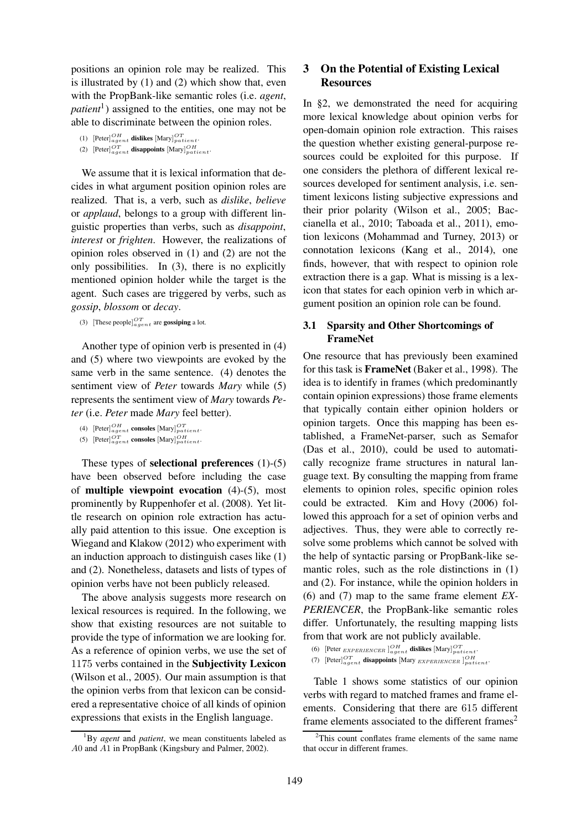positions an opinion role may be realized. This is illustrated by (1) and (2) which show that, even with the PropBank-like semantic roles (i.e. *agent*, *patient*<sup>1</sup> ) assigned to the entities, one may not be able to discriminate between the opinion roles.

```
(1) [Peter]_{agent}^{OH} dislikes [Mary]_{patient}^{OT}.
```

```
(2) [Peter]_{agent}^{OT} disappoints [Mary]_{patient}^{OH}.
```
We assume that it is lexical information that decides in what argument position opinion roles are realized. That is, a verb, such as *dislike*, *believe* or *applaud*, belongs to a group with different linguistic properties than verbs, such as *disappoint*, *interest* or *frighten*. However, the realizations of opinion roles observed in (1) and (2) are not the only possibilities. In (3), there is no explicitly mentioned opinion holder while the target is the agent. Such cases are triggered by verbs, such as *gossip*, *blossom* or *decay*.

(3) [These people] $_{agent}^{OT}$  are **gossiping** a lot.

Another type of opinion verb is presented in (4) and (5) where two viewpoints are evoked by the same verb in the same sentence. (4) denotes the sentiment view of *Peter* towards *Mary* while (5) represents the sentiment view of *Mary* towards *Peter* (i.e. *Peter* made *Mary* feel better).

These types of selectional preferences (1)-(5) have been observed before including the case of multiple viewpoint evocation (4)-(5), most prominently by Ruppenhofer et al. (2008). Yet little research on opinion role extraction has actually paid attention to this issue. One exception is Wiegand and Klakow (2012) who experiment with an induction approach to distinguish cases like (1) and (2). Nonetheless, datasets and lists of types of opinion verbs have not been publicly released.

The above analysis suggests more research on lexical resources is required. In the following, we show that existing resources are not suitable to provide the type of information we are looking for. As a reference of opinion verbs, we use the set of 1175 verbs contained in the Subjectivity Lexicon (Wilson et al., 2005). Our main assumption is that the opinion verbs from that lexicon can be considered a representative choice of all kinds of opinion expressions that exists in the English language.

# 3 On the Potential of Existing Lexical **Resources**

In §2, we demonstrated the need for acquiring more lexical knowledge about opinion verbs for open-domain opinion role extraction. This raises the question whether existing general-purpose resources could be exploited for this purpose. If one considers the plethora of different lexical resources developed for sentiment analysis, i.e. sentiment lexicons listing subjective expressions and their prior polarity (Wilson et al., 2005; Baccianella et al., 2010; Taboada et al., 2011), emotion lexicons (Mohammad and Turney, 2013) or connotation lexicons (Kang et al., 2014), one finds, however, that with respect to opinion role extraction there is a gap. What is missing is a lexicon that states for each opinion verb in which argument position an opinion role can be found.

# 3.1 Sparsity and Other Shortcomings of FrameNet

One resource that has previously been examined for this task is FrameNet (Baker et al., 1998). The idea is to identify in frames (which predominantly contain opinion expressions) those frame elements that typically contain either opinion holders or opinion targets. Once this mapping has been established, a FrameNet-parser, such as Semafor (Das et al., 2010), could be used to automatically recognize frame structures in natural language text. By consulting the mapping from frame elements to opinion roles, specific opinion roles could be extracted. Kim and Hovy (2006) followed this approach for a set of opinion verbs and adjectives. Thus, they were able to correctly resolve some problems which cannot be solved with the help of syntactic parsing or PropBank-like semantic roles, such as the role distinctions in (1) and (2). For instance, while the opinion holders in (6) and (7) map to the same frame element *EX-PERIENCER*, the PropBank-like semantic roles differ. Unfortunately, the resulting mapping lists from that work are not publicly available.

Table 1 shows some statistics of our opinion verbs with regard to matched frames and frame elements. Considering that there are 615 different frame elements associated to the different frames<sup>2</sup>

<sup>(4)</sup>  $[$ Peter] $_{agent}^{OH}$  consoles  $[Mary]_{patient}^{OT}$ .

<sup>(5)</sup>  $[$ Peter] $_{agent}^{OT}$  consoles  $[Mary]_{patient}^{OH}$ .

<sup>1</sup>By *agent* and *patient*, we mean constituents labeled as A0 and A1 in PropBank (Kingsbury and Palmer, 2002).

<sup>(6) [</sup>Peter EXPERIENCER] $_{agent}^{OH}$  dislikes [Mary] $_{patient}^{OT}$ .

<sup>(7) [</sup>Peter] $_{agent}^{OT}$  disappoints [Mary EXPERIENCER ] $_{patient}^{OH}$ 

 $2$ This count conflates frame elements of the same name that occur in different frames.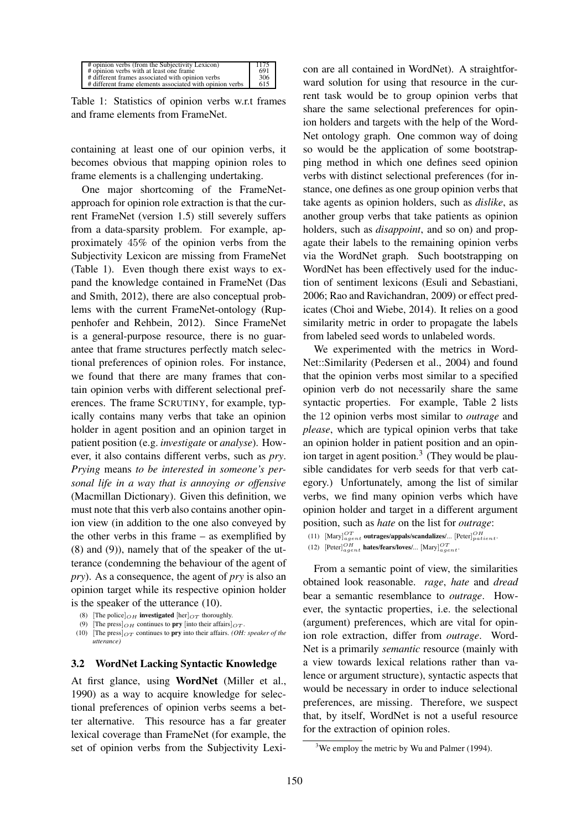| # opinion verbs (from the Subjectivity Lexicon)          | 1175 |
|----------------------------------------------------------|------|
| # opinion verbs with at least one frame                  | 691  |
| # different frames associated with opinion verbs         | 306  |
| # different frame elements associated with opinion verbs | 615  |

Table 1: Statistics of opinion verbs w.r.t frames and frame elements from FrameNet.

containing at least one of our opinion verbs, it becomes obvious that mapping opinion roles to frame elements is a challenging undertaking.

One major shortcoming of the FrameNetapproach for opinion role extraction is that the current FrameNet (version 1.5) still severely suffers from a data-sparsity problem. For example, approximately 45% of the opinion verbs from the Subjectivity Lexicon are missing from FrameNet (Table 1). Even though there exist ways to expand the knowledge contained in FrameNet (Das and Smith, 2012), there are also conceptual problems with the current FrameNet-ontology (Ruppenhofer and Rehbein, 2012). Since FrameNet is a general-purpose resource, there is no guarantee that frame structures perfectly match selectional preferences of opinion roles. For instance, we found that there are many frames that contain opinion verbs with different selectional preferences. The frame SCRUTINY, for example, typically contains many verbs that take an opinion holder in agent position and an opinion target in patient position (e.g. *investigate* or *analyse*). However, it also contains different verbs, such as *pry*. *Prying* means *to be interested in someone's personal life in a way that is annoying or offensive* (Macmillan Dictionary). Given this definition, we must note that this verb also contains another opinion view (in addition to the one also conveyed by the other verbs in this frame – as exemplified by (8) and (9)), namely that of the speaker of the utterance (condemning the behaviour of the agent of *pry*). As a consequence, the agent of *pry* is also an opinion target while its respective opinion holder is the speaker of the utterance (10).

### 3.2 WordNet Lacking Syntactic Knowledge

At first glance, using WordNet (Miller et al., 1990) as a way to acquire knowledge for selectional preferences of opinion verbs seems a better alternative. This resource has a far greater lexical coverage than FrameNet (for example, the set of opinion verbs from the Subjectivity Lexicon are all contained in WordNet). A straightforward solution for using that resource in the current task would be to group opinion verbs that share the same selectional preferences for opinion holders and targets with the help of the Word-Net ontology graph. One common way of doing so would be the application of some bootstrapping method in which one defines seed opinion verbs with distinct selectional preferences (for instance, one defines as one group opinion verbs that take agents as opinion holders, such as *dislike*, as another group verbs that take patients as opinion holders, such as *disappoint*, and so on) and propagate their labels to the remaining opinion verbs via the WordNet graph. Such bootstrapping on WordNet has been effectively used for the induction of sentiment lexicons (Esuli and Sebastiani, 2006; Rao and Ravichandran, 2009) or effect predicates (Choi and Wiebe, 2014). It relies on a good similarity metric in order to propagate the labels from labeled seed words to unlabeled words.

We experimented with the metrics in Word-Net::Similarity (Pedersen et al., 2004) and found that the opinion verbs most similar to a specified opinion verb do not necessarily share the same syntactic properties. For example, Table 2 lists the 12 opinion verbs most similar to *outrage* and *please*, which are typical opinion verbs that take an opinion holder in patient position and an opinion target in agent position.<sup>3</sup> (They would be plausible candidates for verb seeds for that verb category.) Unfortunately, among the list of similar verbs, we find many opinion verbs which have opinion holder and target in a different argument position, such as *hate* on the list for *outrage*:

(11)  $[\text{Mary}]_{agent}^{OT}$  outrages/appals/scandalizes/...  $[\text{Peter}]_{pattern}^{OH}$ 

```
(12) [Peter]_{agent}^{OH} hates/fears/loves/... [Mary]_{agent}^{OT}.
```
From a semantic point of view, the similarities obtained look reasonable. *rage*, *hate* and *dread* bear a semantic resemblance to *outrage*. However, the syntactic properties, i.e. the selectional (argument) preferences, which are vital for opinion role extraction, differ from *outrage*. Word-Net is a primarily *semantic* resource (mainly with a view towards lexical relations rather than valence or argument structure), syntactic aspects that would be necessary in order to induce selectional preferences, are missing. Therefore, we suspect that, by itself, WordNet is not a useful resource for the extraction of opinion roles.

<sup>(8) [</sup>The police] $OH$  investigated [her] $OT$  thoroughly.

<sup>(9) [</sup>The press] $OH$  continues to **pry** [into their affairs] $OT$ .

<sup>(10) [</sup>The press] $_{OT}$  continues to **pry** into their affairs. *(OH: speaker of the utterance)*

 $3$ We employ the metric by Wu and Palmer (1994).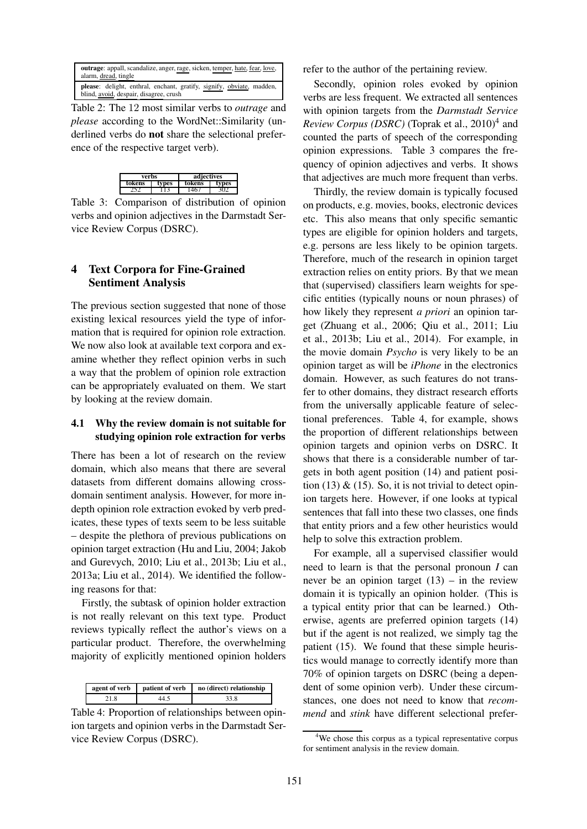| <b>outrage</b> : appall, scandalize, anger, rage, sicken, temper, hate, fear, love,<br>alarm, dread, tingle     |
|-----------------------------------------------------------------------------------------------------------------|
| please: delight, enthral, enchant, gratify, signify, obviate, madden,<br>blind, avoid, despair, disagree, crush |

Table 2: The 12 most similar verbs to *outrage* and *please* according to the WordNet::Similarity (underlined verbs do not share the selectional preference of the respective target verb).

| verbs  |       | adiectives |    |
|--------|-------|------------|----|
| tokens | tvpes | tokens     | es |
|        |       |            |    |

Table 3: Comparison of distribution of opinion verbs and opinion adjectives in the Darmstadt Service Review Corpus (DSRC).

# 4 Text Corpora for Fine-Grained Sentiment Analysis

The previous section suggested that none of those existing lexical resources yield the type of information that is required for opinion role extraction. We now also look at available text corpora and examine whether they reflect opinion verbs in such a way that the problem of opinion role extraction can be appropriately evaluated on them. We start by looking at the review domain.

## 4.1 Why the review domain is not suitable for studying opinion role extraction for verbs

There has been a lot of research on the review domain, which also means that there are several datasets from different domains allowing crossdomain sentiment analysis. However, for more indepth opinion role extraction evoked by verb predicates, these types of texts seem to be less suitable – despite the plethora of previous publications on opinion target extraction (Hu and Liu, 2004; Jakob and Gurevych, 2010; Liu et al., 2013b; Liu et al., 2013a; Liu et al., 2014). We identified the following reasons for that:

Firstly, the subtask of opinion holder extraction is not really relevant on this text type. Product reviews typically reflect the author's views on a particular product. Therefore, the overwhelming majority of explicitly mentioned opinion holders

| agent of verb | patient of verb | no (direct) relationship |
|---------------|-----------------|--------------------------|
| 21.8          |                 | 33.8                     |

Table 4: Proportion of relationships between opinion targets and opinion verbs in the Darmstadt Service Review Corpus (DSRC).

refer to the author of the pertaining review.

Secondly, opinion roles evoked by opinion verbs are less frequent. We extracted all sentences with opinion targets from the *Darmstadt Service* Review Corpus (DSRC) (Toprak et al., 2010)<sup>4</sup> and counted the parts of speech of the corresponding opinion expressions. Table 3 compares the frequency of opinion adjectives and verbs. It shows that adjectives are much more frequent than verbs.

Thirdly, the review domain is typically focused on products, e.g. movies, books, electronic devices etc. This also means that only specific semantic types are eligible for opinion holders and targets, e.g. persons are less likely to be opinion targets. Therefore, much of the research in opinion target extraction relies on entity priors. By that we mean that (supervised) classifiers learn weights for specific entities (typically nouns or noun phrases) of how likely they represent *a priori* an opinion target (Zhuang et al., 2006; Qiu et al., 2011; Liu et al., 2013b; Liu et al., 2014). For example, in the movie domain *Psycho* is very likely to be an opinion target as will be *iPhone* in the electronics domain. However, as such features do not transfer to other domains, they distract research efforts from the universally applicable feature of selectional preferences. Table 4, for example, shows the proportion of different relationships between opinion targets and opinion verbs on DSRC. It shows that there is a considerable number of targets in both agent position (14) and patient position (13)  $\&$  (15). So, it is not trivial to detect opinion targets here. However, if one looks at typical sentences that fall into these two classes, one finds that entity priors and a few other heuristics would help to solve this extraction problem.

For example, all a supervised classifier would need to learn is that the personal pronoun *I* can never be an opinion target  $(13)$  – in the review domain it is typically an opinion holder. (This is a typical entity prior that can be learned.) Otherwise, agents are preferred opinion targets (14) but if the agent is not realized, we simply tag the patient (15). We found that these simple heuristics would manage to correctly identify more than 70% of opinion targets on DSRC (being a dependent of some opinion verb). Under these circumstances, one does not need to know that *recommend* and *stink* have different selectional prefer-

<sup>&</sup>lt;sup>4</sup>We chose this corpus as a typical representative corpus for sentiment analysis in the review domain.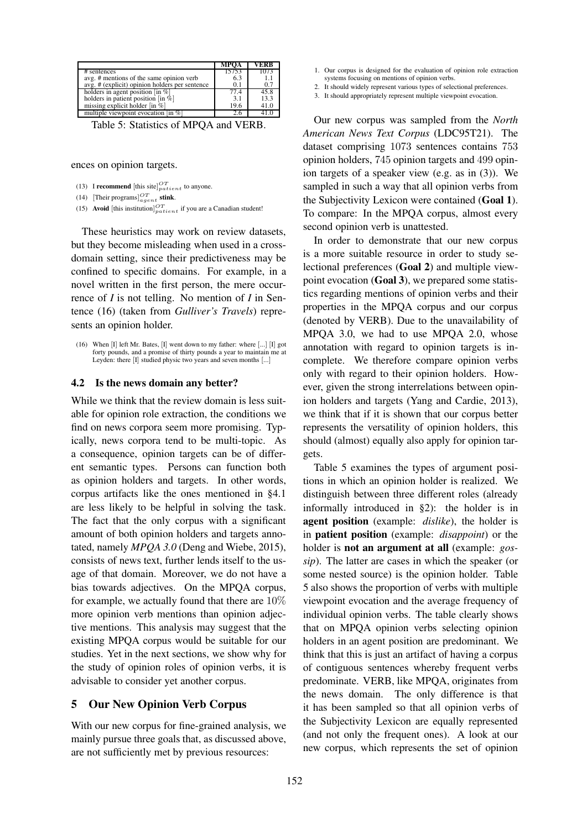|                                                                             | MPOA  | ЕКК  |
|-----------------------------------------------------------------------------|-------|------|
| $#$ sentences                                                               | 15753 | 1073 |
| avg. # mentions of the same opinion verb                                    | 6.3   | 1.   |
| avg. # (explicit) opinion holders per sentence                              | 0.1   | 0.7  |
| holders in agent position $\lceil \ln \% \rceil$                            | 77.4  | 45.8 |
| holders in patient position $\left[ \text{in } \tilde{\mathcal{D}} \right]$ | 3.1   | 13.3 |
| missing explicit holder $\lceil \text{in } \%$                              | 19.6  | 41.0 |
| multiple viewpoint evocation (in %)                                         |       |      |

Table 5: Statistics of MPQA and VERB.

ences on opinion targets.

- (13) I **recommend** [this site] $_{patient}^{OT}$  to anyone.
- (14) [Their programs] $_{agent}^{OT}$  stink.
- (15) Avoid [this institution] $_{partient}^{OT}$  if you are a Canadian student!

These heuristics may work on review datasets, but they become misleading when used in a crossdomain setting, since their predictiveness may be confined to specific domains. For example, in a novel written in the first person, the mere occurrence of *I* is not telling. No mention of *I* in Sentence (16) (taken from *Gulliver's Travels*) represents an opinion holder.

#### 4.2 Is the news domain any better?

While we think that the review domain is less suitable for opinion role extraction, the conditions we find on news corpora seem more promising. Typically, news corpora tend to be multi-topic. As a consequence, opinion targets can be of different semantic types. Persons can function both as opinion holders and targets. In other words, corpus artifacts like the ones mentioned in §4.1 are less likely to be helpful in solving the task. The fact that the only corpus with a significant amount of both opinion holders and targets annotated, namely *MPQA 3.0* (Deng and Wiebe, 2015), consists of news text, further lends itself to the usage of that domain. Moreover, we do not have a bias towards adjectives. On the MPQA corpus, for example, we actually found that there are 10% more opinion verb mentions than opinion adjective mentions. This analysis may suggest that the existing MPQA corpus would be suitable for our studies. Yet in the next sections, we show why for the study of opinion roles of opinion verbs, it is advisable to consider yet another corpus.

#### 5 Our New Opinion Verb Corpus

With our new corpus for fine-grained analysis, we mainly pursue three goals that, as discussed above, are not sufficiently met by previous resources:

- 1. Our corpus is designed for the evaluation of opinion role extraction systems focusing on mentions of opinion verbs.
- 2. It should widely represent various types of selectional preferences.
- 3. It should appropriately represent multiple viewpoint evocation.

Our new corpus was sampled from the *North American News Text Corpus* (LDC95T21). The dataset comprising 1073 sentences contains 753 opinion holders, 745 opinion targets and 499 opinion targets of a speaker view (e.g. as in (3)). We sampled in such a way that all opinion verbs from the Subjectivity Lexicon were contained (Goal 1). To compare: In the MPQA corpus, almost every second opinion verb is unattested.

In order to demonstrate that our new corpus is a more suitable resource in order to study selectional preferences (Goal 2) and multiple viewpoint evocation (Goal 3), we prepared some statistics regarding mentions of opinion verbs and their properties in the MPQA corpus and our corpus (denoted by VERB). Due to the unavailability of MPQA 3.0, we had to use MPQA 2.0, whose annotation with regard to opinion targets is incomplete. We therefore compare opinion verbs only with regard to their opinion holders. However, given the strong interrelations between opinion holders and targets (Yang and Cardie, 2013), we think that if it is shown that our corpus better represents the versatility of opinion holders, this should (almost) equally also apply for opinion targets.

Table 5 examines the types of argument positions in which an opinion holder is realized. We distinguish between three different roles (already informally introduced in §2): the holder is in agent position (example: *dislike*), the holder is in patient position (example: *disappoint*) or the holder is not an argument at all (example: *gossip*). The latter are cases in which the speaker (or some nested source) is the opinion holder. Table 5 also shows the proportion of verbs with multiple viewpoint evocation and the average frequency of individual opinion verbs. The table clearly shows that on MPQA opinion verbs selecting opinion holders in an agent position are predominant. We think that this is just an artifact of having a corpus of contiguous sentences whereby frequent verbs predominate. VERB, like MPQA, originates from the news domain. The only difference is that it has been sampled so that all opinion verbs of the Subjectivity Lexicon are equally represented (and not only the frequent ones). A look at our new corpus, which represents the set of opinion

<sup>(16)</sup> When [I] left Mr. Bates, [I] went down to my father: where [...] [I] got forty pounds, and a promise of thirty pounds a year to maintain me at Leyden: there [I] studied physic two years and seven months [...]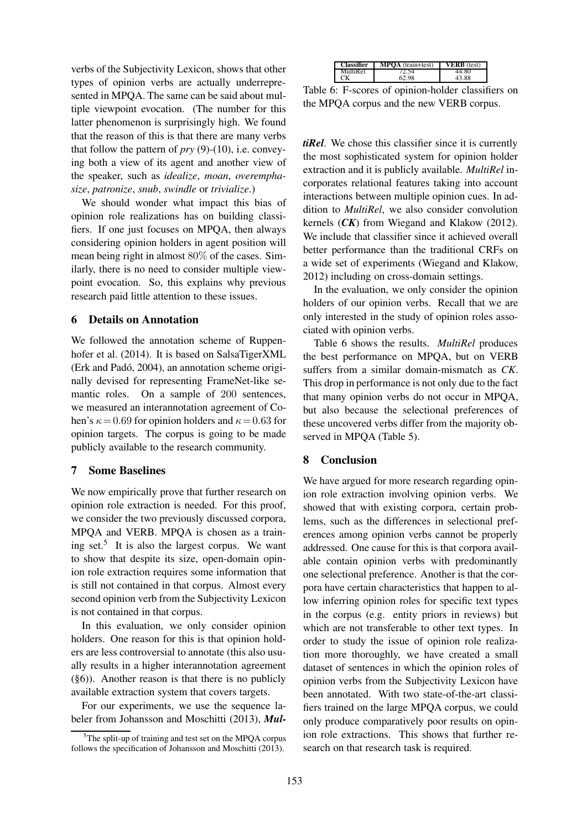verbs of the Subjectivity Lexicon, shows that other types of opinion verbs are actually underrepresented in MPQA. The same can be said about multiple viewpoint evocation. (The number for this latter phenomenon is surprisingly high. We found that the reason of this is that there are many verbs that follow the pattern of *pry* (9)-(10), i.e. conveying both a view of its agent and another view of the speaker, such as *idealize*, *moan*, *overemphasize*, *patronize*, *snub*, *swindle* or *trivialize*.)

We should wonder what impact this bias of opinion role realizations has on building classifiers. If one just focuses on MPQA, then always considering opinion holders in agent position will mean being right in almost 80% of the cases. Similarly, there is no need to consider multiple viewpoint evocation. So, this explains why previous research paid little attention to these issues.

#### 6 Details on Annotation

We followed the annotation scheme of Ruppenhofer et al. (2014). It is based on SalsaTigerXML (Erk and Padó, 2004), an annotation scheme originally devised for representing FrameNet-like semantic roles. On a sample of 200 sentences, we measured an interannotation agreement of Cohen's  $\kappa = 0.69$  for opinion holders and  $\kappa = 0.63$  for opinion targets. The corpus is going to be made publicly available to the research community.

### 7 Some Baselines

We now empirically prove that further research on opinion role extraction is needed. For this proof, we consider the two previously discussed corpora, MPQA and VERB. MPQA is chosen as a training set.<sup>5</sup> It is also the largest corpus. We want to show that despite its size, open-domain opinion role extraction requires some information that is still not contained in that corpus. Almost every second opinion verb from the Subjectivity Lexicon is not contained in that corpus.

In this evaluation, we only consider opinion holders. One reason for this is that opinion holders are less controversial to annotate (this also usually results in a higher interannotation agreement (§6)). Another reason is that there is no publicly available extraction system that covers targets.

For our experiments, we use the sequence labeler from Johansson and Moschitti (2013), *Mul-*

| fier | MPOA<br>$(train + test)$ |            |
|------|--------------------------|------------|
| ا ہ  |                          | .4.ov      |
|      | .98                      | $^{\circ}$ |

Table 6: F-scores of opinion-holder classifiers on the MPQA corpus and the new VERB corpus.

*tiRel*. We chose this classifier since it is currently the most sophisticated system for opinion holder extraction and it is publicly available. *MultiRel* incorporates relational features taking into account interactions between multiple opinion cues. In addition to *MultiRel*, we also consider convolution kernels (*CK*) from Wiegand and Klakow (2012). We include that classifier since it achieved overall better performance than the traditional CRFs on a wide set of experiments (Wiegand and Klakow, 2012) including on cross-domain settings.

In the evaluation, we only consider the opinion holders of our opinion verbs. Recall that we are only interested in the study of opinion roles associated with opinion verbs.

Table 6 shows the results. *MultiRel* produces the best performance on MPQA, but on VERB suffers from a similar domain-mismatch as *CK*. This drop in performance is not only due to the fact that many opinion verbs do not occur in MPQA, but also because the selectional preferences of these uncovered verbs differ from the majority observed in MPQA (Table 5).

## 8 Conclusion

We have argued for more research regarding opinion role extraction involving opinion verbs. We showed that with existing corpora, certain problems, such as the differences in selectional preferences among opinion verbs cannot be properly addressed. One cause for this is that corpora available contain opinion verbs with predominantly one selectional preference. Another is that the corpora have certain characteristics that happen to allow inferring opinion roles for specific text types in the corpus (e.g. entity priors in reviews) but which are not transferable to other text types. In order to study the issue of opinion role realization more thoroughly, we have created a small dataset of sentences in which the opinion roles of opinion verbs from the Subjectivity Lexicon have been annotated. With two state-of-the-art classifiers trained on the large MPQA corpus, we could only produce comparatively poor results on opinion role extractions. This shows that further research on that research task is required.

 $5$ The split-up of training and test set on the MPQA corpus follows the specification of Johansson and Moschitti (2013).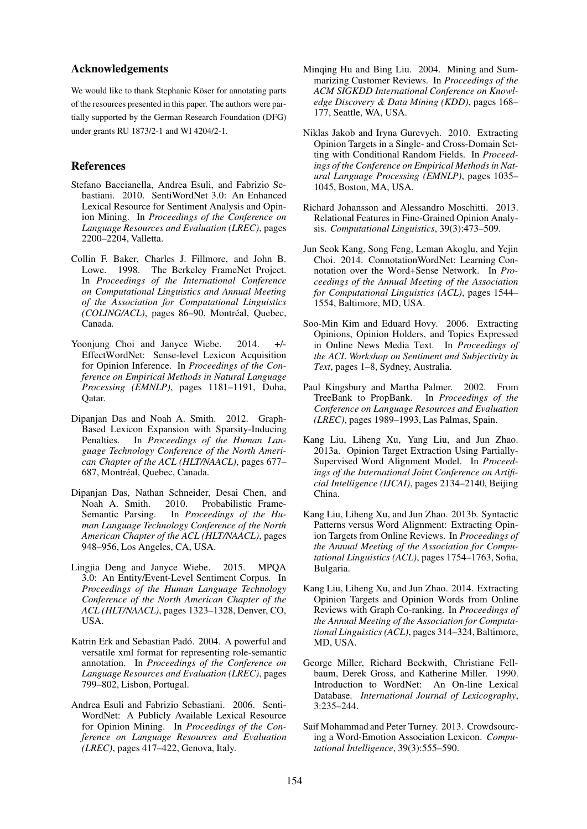#### Acknowledgements

We would like to thank Stephanie Köser for annotating parts of the resources presented in this paper. The authors were partially supported by the German Research Foundation (DFG) under grants RU 1873/2-1 and WI 4204/2-1.

## References

- Stefano Baccianella, Andrea Esuli, and Fabrizio Sebastiani. 2010. SentiWordNet 3.0: An Enhanced Lexical Resource for Sentiment Analysis and Opinion Mining. In *Proceedings of the Conference on Language Resources and Evaluation (LREC)*, pages 2200–2204, Valletta.
- Collin F. Baker, Charles J. Fillmore, and John B. Lowe. 1998. The Berkeley FrameNet Project. In *Proceedings of the International Conference on Computational Linguistics and Annual Meeting of the Association for Computational Linguistics (COLING/ACL)*, pages 86-90, Montréal, Quebec, Canada.
- Yoonjung Choi and Janyce Wiebe. 2014. +/-EffectWordNet: Sense-level Lexicon Acquisition for Opinion Inference. In *Proceedings of the Conference on Empirical Methods in Natural Language Processing (EMNLP)*, pages 1181–1191, Doha, Qatar.
- Dipanjan Das and Noah A. Smith. 2012. Graph-Based Lexicon Expansion with Sparsity-Inducing Penalties. In *Proceedings of the Human Language Technology Conference of the North American Chapter of the ACL (HLT/NAACL)*, pages 677– 687, Montréal, Quebec, Canada.
- Dipanjan Das, Nathan Schneider, Desai Chen, and Noah A. Smith. 2010. Probabilistic Frame-Semantic Parsing. In *Proceedings of the Human Language Technology Conference of the North American Chapter of the ACL (HLT/NAACL)*, pages 948–956, Los Angeles, CA, USA.
- Lingjia Deng and Janyce Wiebe. 2015. MPQA 3.0: An Entity/Event-Level Sentiment Corpus. In *Proceedings of the Human Language Technology Conference of the North American Chapter of the ACL (HLT/NAACL)*, pages 1323–1328, Denver, CO, USA.
- Katrin Erk and Sebastian Padó. 2004. A powerful and versatile xml format for representing role-semantic annotation. In *Proceedings of the Conference on Language Resources and Evaluation (LREC)*, pages 799–802, Lisbon, Portugal.
- Andrea Esuli and Fabrizio Sebastiani. 2006. Senti-WordNet: A Publicly Available Lexical Resource for Opinion Mining. In *Proceedings of the Conference on Language Resources and Evaluation (LREC)*, pages 417–422, Genova, Italy.
- Minqing Hu and Bing Liu. 2004. Mining and Summarizing Customer Reviews. In *Proceedings of the ACM SIGKDD International Conference on Knowledge Discovery & Data Mining (KDD)*, pages 168– 177, Seattle, WA, USA.
- Niklas Jakob and Iryna Gurevych. 2010. Extracting Opinion Targets in a Single- and Cross-Domain Setting with Conditional Random Fields. In *Proceedings of the Conference on Empirical Methods in Natural Language Processing (EMNLP)*, pages 1035– 1045, Boston, MA, USA.
- Richard Johansson and Alessandro Moschitti. 2013. Relational Features in Fine-Grained Opinion Analysis. *Computational Linguistics*, 39(3):473–509.
- Jun Seok Kang, Song Feng, Leman Akoglu, and Yejin Choi. 2014. ConnotationWordNet: Learning Connotation over the Word+Sense Network. In *Proceedings of the Annual Meeting of the Association for Computational Linguistics (ACL)*, pages 1544– 1554, Baltimore, MD, USA.
- Soo-Min Kim and Eduard Hovy. 2006. Extracting Opinions, Opinion Holders, and Topics Expressed in Online News Media Text. In *Proceedings of the ACL Workshop on Sentiment and Subjectivity in Text*, pages 1–8, Sydney, Australia.
- Paul Kingsbury and Martha Palmer. 2002. From TreeBank to PropBank. In *Proceedings of the Conference on Language Resources and Evaluation (LREC)*, pages 1989–1993, Las Palmas, Spain.
- Kang Liu, Liheng Xu, Yang Liu, and Jun Zhao. 2013a. Opinion Target Extraction Using Partially-Supervised Word Alignment Model. In *Proceedings of the International Joint Conference on Artificial Intelligence (IJCAI)*, pages 2134–2140, Beijing China.
- Kang Liu, Liheng Xu, and Jun Zhao. 2013b. Syntactic Patterns versus Word Alignment: Extracting Opinion Targets from Online Reviews. In *Proceedings of the Annual Meeting of the Association for Computational Linguistics (ACL)*, pages 1754–1763, Sofia, Bulgaria.
- Kang Liu, Liheng Xu, and Jun Zhao. 2014. Extracting Opinion Targets and Opinion Words from Online Reviews with Graph Co-ranking. In *Proceedings of the Annual Meeting of the Association for Computational Linguistics (ACL)*, pages 314–324, Baltimore, MD, USA.
- George Miller, Richard Beckwith, Christiane Fellbaum, Derek Gross, and Katherine Miller. 1990. Introduction to WordNet: An On-line Lexical Database. *International Journal of Lexicography*, 3:235–244.
- Saif Mohammad and Peter Turney. 2013. Crowdsourcing a Word-Emotion Association Lexicon. *Computational Intelligence*, 39(3):555–590.